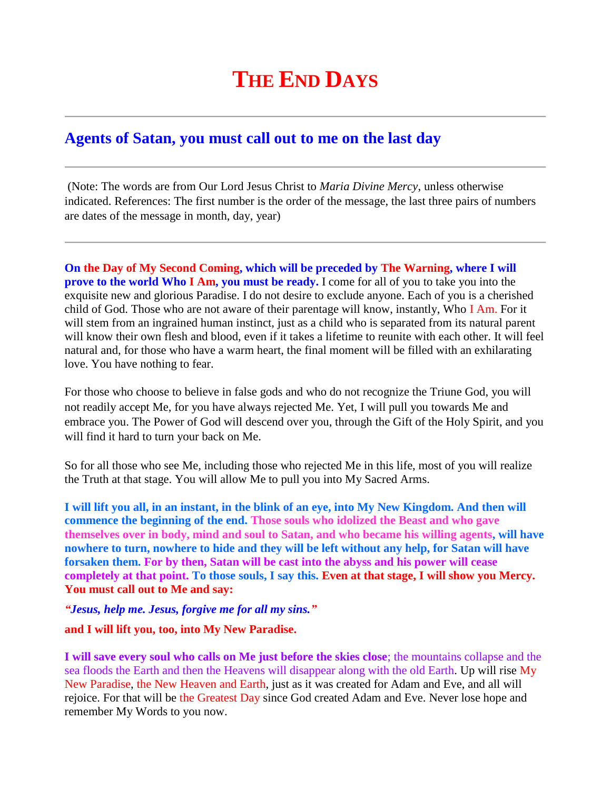## **THE END DAYS**

## **Agents of Satan, you must call out to me on the last day**

(Note: The words are from Our Lord Jesus Christ to *Maria Divine Mercy*, unless otherwise indicated. References: The first number is the order of the message, the last three pairs of numbers are dates of the message in month, day, year)

**On the Day of My Second Coming, which will be preceded by The Warning, where I will prove to the world Who I Am, you must be ready.** I come for all of you to take you into the exquisite new and glorious Paradise. I do not desire to exclude anyone. Each of you is a cherished child of God. Those who are not aware of their parentage will know, instantly, Who I Am. For it will stem from an ingrained human instinct, just as a child who is separated from its natural parent will know their own flesh and blood, even if it takes a lifetime to reunite with each other. It will feel natural and, for those who have a warm heart, the final moment will be filled with an exhilarating love. You have nothing to fear.

For those who choose to believe in false gods and who do not recognize the Triune God, you will not readily accept Me, for you have always rejected Me. Yet, I will pull you towards Me and embrace you. The Power of God will descend over you, through the Gift of the Holy Spirit, and you will find it hard to turn your back on Me.

So for all those who see Me, including those who rejected Me in this life, most of you will realize the Truth at that stage. You will allow Me to pull you into My Sacred Arms.

**I will lift you all, in an instant, in the blink of an eye, into My New Kingdom. And then will commence the beginning of the end. Those souls who idolized the Beast and who gave themselves over in body, mind and soul to Satan, and who became his willing agents, will have nowhere to turn, nowhere to hide and they will be left without any help, for Satan will have forsaken them. For by then, Satan will be cast into the abyss and his power will cease completely at that point. To those souls, I say this. Even at that stage, I will show you Mercy. You must call out to Me and say:**

*"Jesus, help me. Jesus, forgive me for all my sins."*

## **and I will lift you, too, into My New Paradise.**

**I will save every soul who calls on Me just before the skies close**; the mountains collapse and the sea floods the Earth and then the Heavens will disappear along with the old Earth. Up will rise My New Paradise, the New Heaven and Earth, just as it was created for Adam and Eve, and all will rejoice. For that will be the Greatest Day since God created Adam and Eve. Never lose hope and remember My Words to you now.